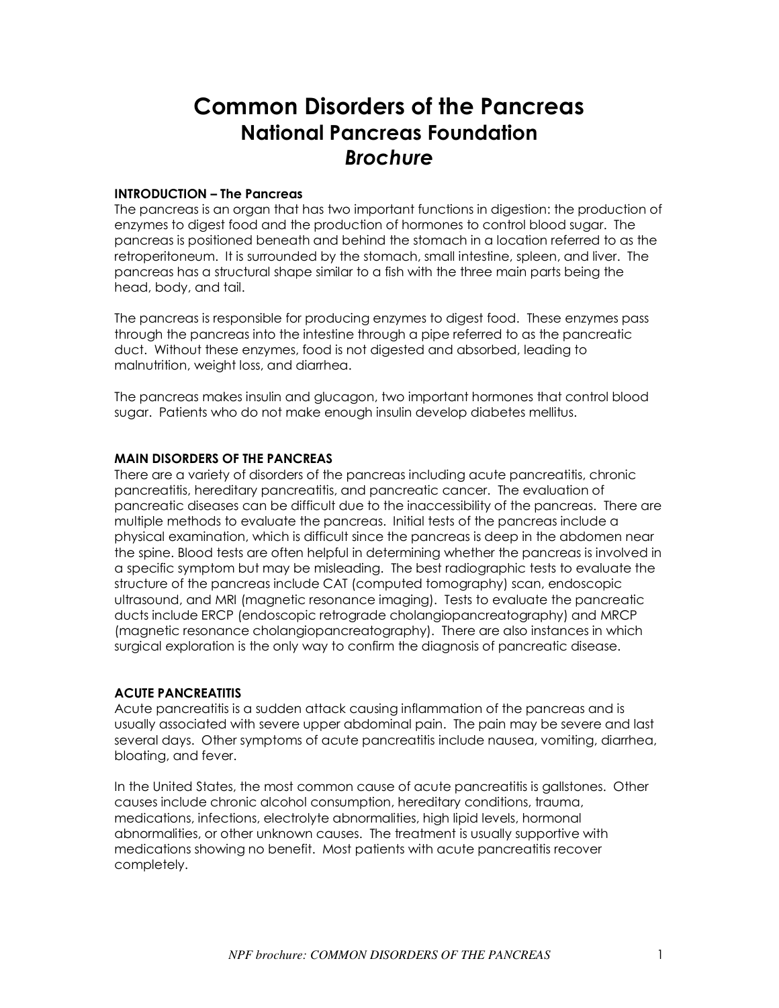# **Common Disorders of the Pancreas National Pancreas Foundation**  *Brochure*

# **INTRODUCTION – The Pancreas**

The pancreas is an organ that has two important functions in digestion: the production of enzymes to digest food and the production of hormones to control blood sugar. The pancreas is positioned beneath and behind the stomach in a location referred to as the retroperitoneum. It is surrounded by the stomach, small intestine, spleen, and liver. The pancreas has a structural shape similar to a fish with the three main parts being the head, body, and tail.

The pancreas is responsible for producing enzymes to digest food. These enzymes pass through the pancreas into the intestine through a pipe referred to as the pancreatic duct. Without these enzymes, food is not digested and absorbed, leading to malnutrition, weight loss, and diarrhea.

The pancreas makes insulin and glucagon, two important hormones that control blood sugar. Patients who do not make enough insulin develop diabetes mellitus.

# **MAIN DISORDERS OF THE PANCREAS**

There are a variety of disorders of the pancreas including acute pancreatitis, chronic pancreatitis, hereditary pancreatitis, and pancreatic cancer. The evaluation of pancreatic diseases can be difficult due to the inaccessibility of the pancreas. There are multiple methods to evaluate the pancreas. Initial tests of the pancreas include a physical examination, which is difficult since the pancreas is deep in the abdomen near the spine. Blood tests are often helpful in determining whether the pancreas is involved in a specific symptom but may be misleading. The best radiographic tests to evaluate the structure of the pancreas include CAT (computed tomography) scan, endoscopic ultrasound, and MRI (magnetic resonance imaging). Tests to evaluate the pancreatic ducts include ERCP (endoscopic retrograde cholangiopancreatography) and MRCP (magnetic resonance cholangiopancreatography). There are also instances in which surgical exploration is the only way to confirm the diagnosis of pancreatic disease.

#### **ACUTE PANCREATITIS**

Acute pancreatitis is a sudden attack causing inflammation of the pancreas and is usually associated with severe upper abdominal pain. The pain may be severe and last several days. Other symptoms of acute pancreatitis include nausea, vomiting, diarrhea, bloating, and fever.

In the United States, the most common cause of acute pancreatitis is gallstones. Other causes include chronic alcohol consumption, hereditary conditions, trauma, medications, infections, electrolyte abnormalities, high lipid levels, hormonal abnormalities, or other unknown causes. The treatment is usually supportive with medications showing no benefit. Most patients with acute pancreatitis recover completely.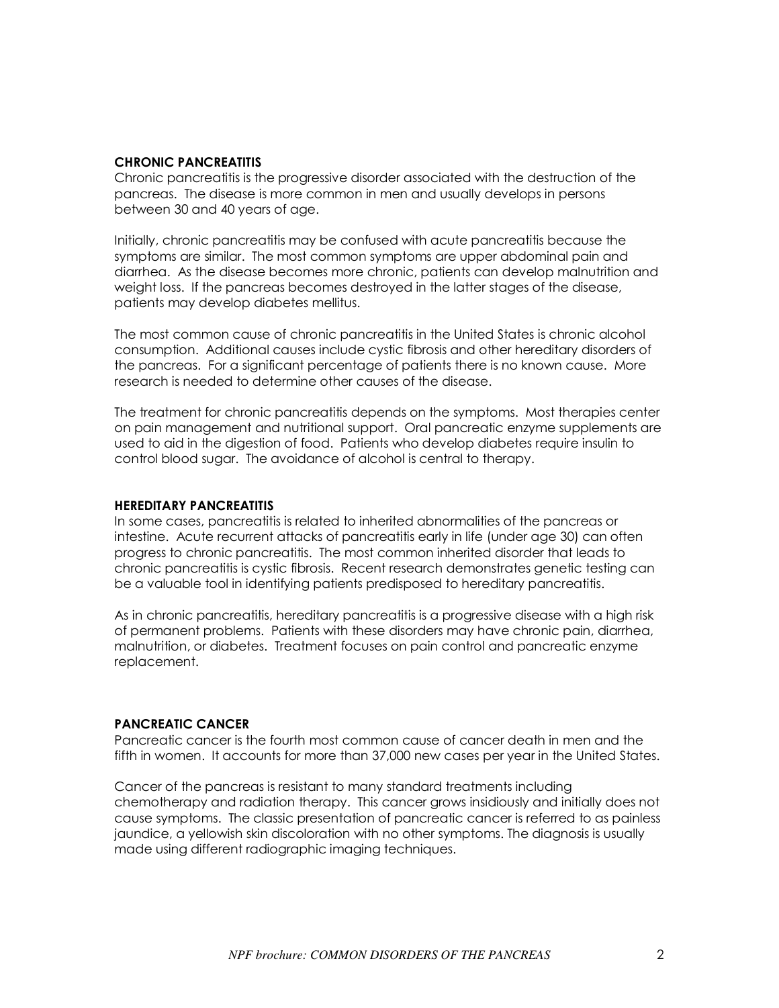# **CHRONIC PANCREATITIS**

Chronic pancreatitis is the progressive disorder associated with the destruction of the pancreas. The disease is more common in men and usually develops in persons between 30 and 40 years of age.

Initially, chronic pancreatitis may be confused with acute pancreatitis because the symptoms are similar. The most common symptoms are upper abdominal pain and diarrhea. As the disease becomes more chronic, patients can develop malnutrition and weight loss. If the pancreas becomes destroyed in the latter stages of the disease, patients may develop diabetes mellitus.

The most common cause of chronic pancreatitis in the United States is chronic alcohol consumption. Additional causes include cystic fibrosis and other hereditary disorders of the pancreas. For a significant percentage of patients there is no known cause. More research is needed to determine other causes of the disease.

The treatment for chronic pancreatitis depends on the symptoms. Most therapies center on pain management and nutritional support. Oral pancreatic enzyme supplements are used to aid in the digestion of food. Patients who develop diabetes require insulin to control blood sugar. The avoidance of alcohol is central to therapy.

## **HEREDITARY PANCREATITIS**

In some cases, pancreatitis is related to inherited abnormalities of the pancreas or intestine. Acute recurrent attacks of pancreatitis early in life (under age 30) can often progress to chronic pancreatitis. The most common inherited disorder that leads to chronic pancreatitis is cystic fibrosis. Recent research demonstrates genetic testing can be a valuable tool in identifying patients predisposed to hereditary pancreatitis.

As in chronic pancreatitis, hereditary pancreatitis is a progressive disease with a high risk of permanent problems. Patients with these disorders may have chronic pain, diarrhea, malnutrition, or diabetes. Treatment focuses on pain control and pancreatic enzyme replacement.

## **PANCREATIC CANCER**

Pancreatic cancer is the fourth most common cause of cancer death in men and the fifth in women. It accounts for more than 37,000 new cases per year in the United States.

Cancer of the pancreas is resistant to many standard treatments including chemotherapy and radiation therapy. This cancer grows insidiously and initially does not cause symptoms. The classic presentation of pancreatic cancer is referred to as painless jaundice, a yellowish skin discoloration with no other symptoms. The diagnosis is usually made using different radiographic imaging techniques.